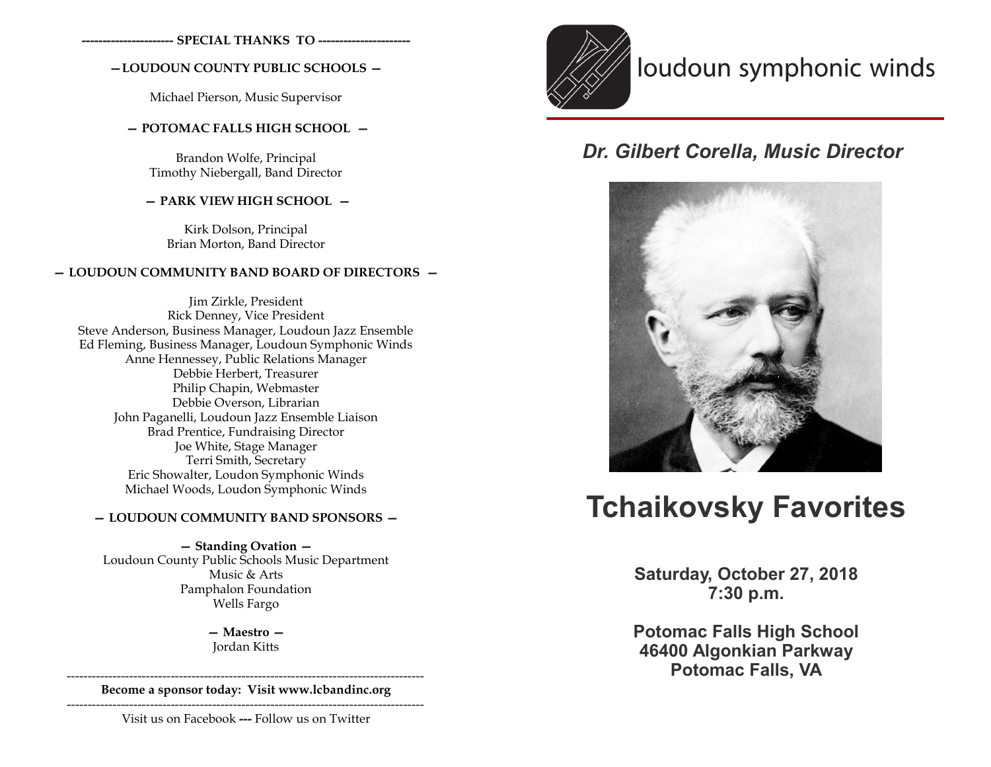**---------------------- SPECIAL THANKS TO ----------------------**

## **—LOUDOUN COUNTY PUBLIC SCHOOLS —**

Michael Pierson, Music Supervisor

## **— POTOMAC FALLS HIGH SCHOOL —**

Brandon Wolfe, Principal Timothy Niebergall, Band Director

## **— PARK VIEW HIGH SCHOOL —**

Kirk Dolson, Principal Brian Morton, Band Director

## **— LOUDOUN COMMUNITY BAND BOARD OF DIRECTORS —**

Jim Zirkle, President Rick Denney, Vice President Steve Anderson, Business Manager, Loudoun Jazz Ensemble Ed Fleming, Business Manager, Loudoun Symphonic Winds Anne Hennessey, Public Relations Manager Debbie Herbert, Treasurer Philip Chapin, Webmaster Debbie Overson, Librarian John Paganelli, Loudoun Jazz Ensemble Liaison Brad Prentice, Fundraising Director Joe White, Stage Manager Terri Smith, Secretary Eric Showalter, Loudon Symphonic Winds Michael Woods, Loudon Symphonic Winds

## **— LOUDOUN COMMUNITY BAND SPONSORS —**

**— Standing Ovation —**  Loudoun County Public Schools Music Department Music & Arts Pamphalon Foundation Wells Fargo

> **— Maestro —** Jordan Kitts

-------------------------------------------------------------------------------------- **Become a sponsor today: Visit www.lcbandinc.org**

--------------------------------------------------------------------------------------

Visit us on Facebook **---** Follow us on Twitter



## loudoun symphonic winds

## *Dr. Gilbert Corella, Music Director*



# **Tchaikovsky Favorites**

**Saturday, October 27, 2018 7:30 p.m.**

**Potomac Falls High School 46400 Algonkian Parkway Potomac Falls, VA**